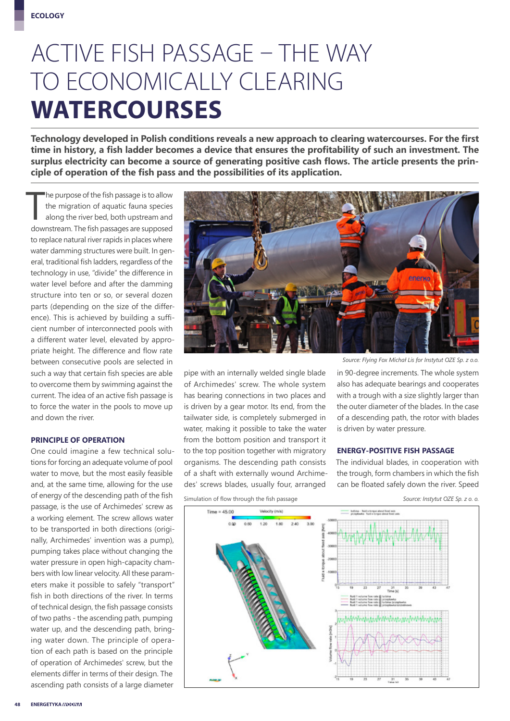## ACTIVE FISH PASSAGE – THE WAY TO ECONOMICALLY CLEARING **WATERCOURSES**

**Technology developed in Polish conditions reveals a new approach to clearing watercourses. For the first time in history, a fish ladder becomes a device that ensures the profitability of such an investment. The surplus electricity can become a source of generating positive cash flows. The article presents the principle of operation of the fish pass and the possibilities of its application.**

 $\prod$ he purpose of the fish passage is to allow the migration of aquatic fauna species along the river bed, both upstream and downstream. The fish passages are supposed to replace natural river rapids in places where water damming structures were built. In general, traditional fish ladders, regardless of the technology in use, "divide" the difference in water level before and after the damming structure into ten or so, or several dozen parts (depending on the size of the difference). This is achieved by building a sufficient number of interconnected pools with a different water level, elevated by appropriate height. The difference and flow rate between consecutive pools are selected in such a way that certain fish species are able to overcome them by swimming against the current. The idea of an active fish passage is to force the water in the pools to move up and down the river.

#### **PRINCIPLE OF OPERATION**

One could imagine a few technical solutions for forcing an adequate volume of pool water to move, but the most easily feasible and, at the same time, allowing for the use of energy of the descending path of the fish passage, is the use of Archimedes' screw as a working element. The screw allows water to be transported in both directions (originally, Archimedes' invention was a pump), pumping takes place without changing the water pressure in open high-capacity chambers with low linear velocity. All these parameters make it possible to safely "transport" fish in both directions of the river. In terms of technical design, the fish passage consists of two paths - the ascending path, pumping water up, and the descending path, bringing water down. The principle of operation of each path is based on the principle of operation of Archimedes' screw, but the elements differ in terms of their design. The ascending path consists of a large diameter



pipe with an internally welded single blade of Archimedes' screw. The whole system has bearing connections in two places and is driven by a gear motor. Its end, from the tailwater side, is completely submerged in water, making it possible to take the water from the bottom position and transport it to the top position together with migratory organisms. The descending path consists of a shaft with externally wound Archimedes' screws blades, usually four, arranged

*Source: Flying Fox Michał Lis for Instytut OZE Sp. z o.o.*

in 90-degree increments. The whole system also has adequate bearings and cooperates with a trough with a size slightly larger than the outer diameter of the blades. In the case of a descending path, the rotor with blades is driven by water pressure.

#### **ENERGY-POSITIVE FISH PASSAGE**

The individual blades, in cooperation with the trough, form chambers in which the fish can be floated safely down the river. Speed



Simulation of flow through the fish passage *Source: Instytut OZE Sp. z o. o.*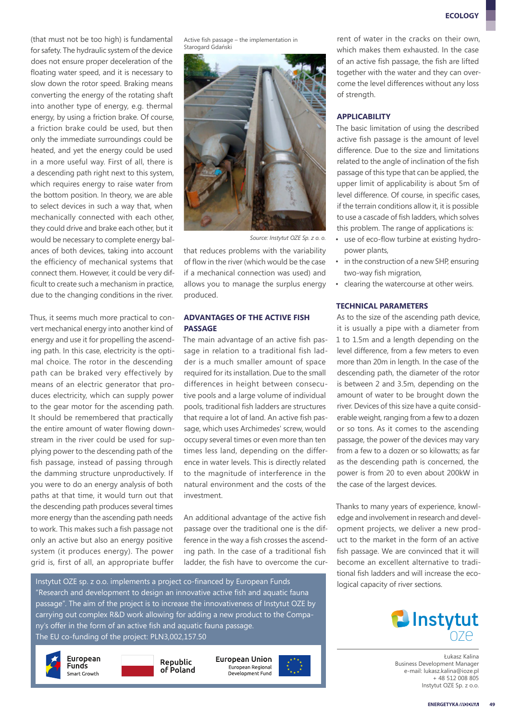(that must not be too high) is fundamental for safety. The hydraulic system of the device does not ensure proper deceleration of the floating water speed, and it is necessary to slow down the rotor speed. Braking means converting the energy of the rotating shaft into another type of energy, e.g. thermal energy, by using a friction brake. Of course, a friction brake could be used, but then only the immediate surroundings could be heated, and yet the energy could be used in a more useful way. First of all, there is a descending path right next to this system, which requires energy to raise water from the bottom position. In theory, we are able to select devices in such a way that, when mechanically connected with each other, they could drive and brake each other, but it would be necessary to complete energy balances of both devices, taking into account the efficiency of mechanical systems that connect them. However, it could be very difficult to create such a mechanism in practice, due to the changing conditions in the river.

Thus, it seems much more practical to convert mechanical energy into another kind of energy and use it for propelling the ascending path. In this case, electricity is the optimal choice. The rotor in the descending path can be braked very effectively by means of an electric generator that produces electricity, which can supply power to the gear motor for the ascending path. It should be remembered that practically the entire amount of water flowing downstream in the river could be used for supplying power to the descending path of the fish passage, instead of passing through the damming structure unproductively. If you were to do an energy analysis of both paths at that time, it would turn out that the descending path produces several times more energy than the ascending path needs to work. This makes such a fish passage not only an active but also an energy positive system (it produces energy). The power grid is, first of all, an appropriate buffer

Active fish passage – the implementation in Starogard Gdański



*Source: Instytut OZE Sp. z o. o.*

that reduces problems with the variability of flow in the river (which would be the case if a mechanical connection was used) and allows you to manage the surplus energy produced.

#### **ADVANTAGES OF THE ACTIVE FISH PASSAGE**

The main advantage of an active fish passage in relation to a traditional fish ladder is a much smaller amount of space required for its installation. Due to the small differences in height between consecutive pools and a large volume of individual pools, traditional fish ladders are structures that require a lot of land. An active fish passage, which uses Archimedes' screw, would occupy several times or even more than ten times less land, depending on the difference in water levels. This is directly related to the magnitude of interference in the natural environment and the costs of the investment.

An additional advantage of the active fish passage over the traditional one is the difference in the way a fish crosses the ascending path. In the case of a traditional fish ladder, the fish have to overcome the cur-

Instytut OZE sp. z o.o. implements a project co-financed by European Funds "Research and development to design an innovative active fish and aquatic fauna passage". The aim of the project is to increase the innovativeness of Instytut OZE by carrying out complex R&D work allowing for adding a new product to the Company's offer in the form of an active fish and aquatic fauna passage. The EU co-funding of the project: PLN3,002,157.50







European Union European Regional Development Fund



rent of water in the cracks on their own, which makes them exhausted. In the case of an active fish passage, the fish are lifted together with the water and they can overcome the level differences without any loss of strength.

#### **APPLICABILITY**

The basic limitation of using the described active fish passage is the amount of level difference. Due to the size and limitations related to the angle of inclination of the fish passage of this type that can be applied, the upper limit of applicability is about 5m of level difference. Of course, in specific cases, if the terrain conditions allow it, it is possible to use a cascade of fish ladders, which solves this problem. The range of applications is:

- use of eco-flow turbine at existing hydropower plants,
- in the construction of a new SHP, ensuring two-way fish migration,
- clearing the watercourse at other weirs.

#### **TECHNICAL PARAMETERS**

As to the size of the ascending path device, it is usually a pipe with a diameter from 1 to 1.5m and a length depending on the level difference, from a few meters to even more than 20m in length. In the case of the descending path, the diameter of the rotor is between 2 and 3.5m, depending on the amount of water to be brought down the river. Devices of this size have a quite considerable weight, ranging from a few to a dozen or so tons. As it comes to the ascending passage, the power of the devices may vary from a few to a dozen or so kilowatts; as far as the descending path is concerned, the power is from 20 to even about 200kW in the case of the largest devices.

Thanks to many years of experience, knowledge and involvement in research and development projects, we deliver a new product to the market in the form of an active fish passage. We are convinced that it will become an excellent alternative to traditional fish ladders and will increase the ecological capacity of river sections.



Łukasz Kalina Business Development Manager e-mail: lukasz.kalina@ioze.pl + 48 512 008 805 Instytut OZE Sp. z o.o.